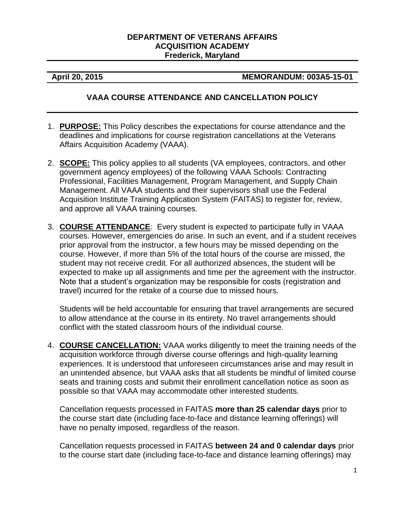#### **DEPARTMENT OF VETERANS AFFAIRS ACQUISITION ACADEMY Frederick, Maryland**

### **April 20, 2015 MEMORANDUM: 003A5-15-01**

## **VAAA COURSE ATTENDANCE AND CANCELLATION POLICY**

- 1. **PURPOSE:** This Policy describes the expectations for course attendance and the deadlines and implications for course registration cancellations at the Veterans Affairs Acquisition Academy (VAAA).
- 2. **SCOPE:** This policy applies to all students (VA employees, contractors, and other government agency employees) of the following VAAA Schools: Contracting Professional, Facilities Management, Program Management, and Supply Chain Management. All VAAA students and their supervisors shall use the Federal Acquisition Institute Training Application System (FAITAS) to register for, review, and approve all VAAA training courses.
- 3. **COURSE ATTENDANCE**: Every student is expected to participate fully in VAAA courses. However, emergencies do arise. In such an event, and if a student receives prior approval from the instructor, a few hours may be missed depending on the course. However, if more than 5% of the total hours of the course are missed, the student may not receive credit. For all authorized absences, the student will be expected to make up all assignments and time per the agreement with the instructor. Note that a student's organization may be responsible for costs (registration and travel) incurred for the retake of a course due to missed hours.

Students will be held accountable for ensuring that travel arrangements are secured to allow attendance at the course in its entirety. No travel arrangements should conflict with the stated classroom hours of the individual course.

4. **COURSE CANCELLATION:** VAAA works diligently to meet the training needs of the acquisition workforce through diverse course offerings and high-quality learning experiences. It is understood that unforeseen circumstances arise and may result in an unintended absence, but VAAA asks that all students be mindful of limited course seats and training costs and submit their enrollment cancellation notice as soon as possible so that VAAA may accommodate other interested students.

Cancellation requests processed in FAITAS **more than 25 calendar days** prior to the course start date (including face-to-face and distance learning offerings) will have no penalty imposed, regardless of the reason.

Cancellation requests processed in FAITAS **between 24 and 0 calendar days** prior to the course start date (including face-to-face and distance learning offerings) may